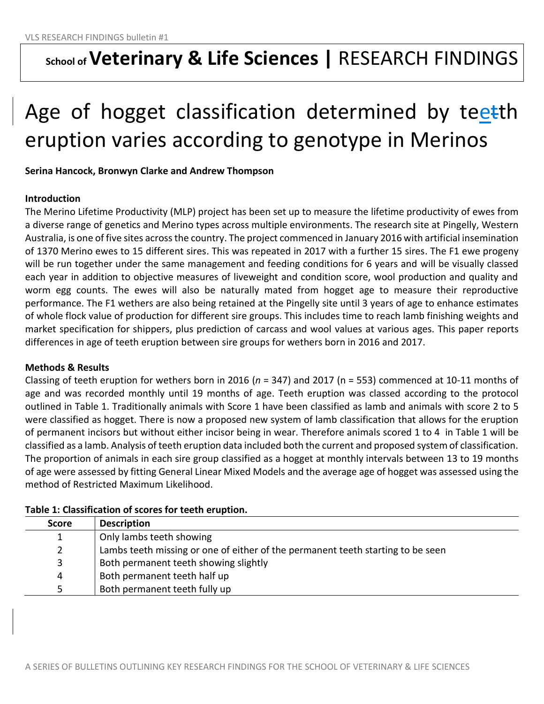## **School of Veterinary & Life Sciences |** RESEARCH FINDINGS

# Age of hogget classification determined by teetth eruption varies according to genotype in Merinos

#### **Serina Hancock, Bronwyn Clarke and Andrew Thompson**

#### **Introduction**

The Merino Lifetime Productivity (MLP) project has been set up to measure the lifetime productivity of ewes from a diverse range of genetics and Merino types across multiple environments. The research site at Pingelly, Western Australia, is one of five sites across the country. The project commenced in January 2016 with artificial insemination of 1370 Merino ewes to 15 different sires. This was repeated in 2017 with a further 15 sires. The F1 ewe progeny will be run together under the same management and feeding conditions for 6 years and will be visually classed each year in addition to objective measures of liveweight and condition score, wool production and quality and worm egg counts. The ewes will also be naturally mated from hogget age to measure their reproductive performance. The F1 wethers are also being retained at the Pingelly site until 3 years of age to enhance estimates of whole flock value of production for different sire groups. This includes time to reach lamb finishing weights and market specification for shippers, plus prediction of carcass and wool values at various ages. This paper reports differences in age of teeth eruption between sire groups for wethers born in 2016 and 2017.

#### **Methods & Results**

Classing of teeth eruption for wethers born in 2016 (*n* = 347) and 2017 (n = 553) commenced at 10-11 months of age and was recorded monthly until 19 months of age. Teeth eruption was classed according to the protocol outlined in Table 1. Traditionally animals with Score 1 have been classified as lamb and animals with score 2 to 5 were classified as hogget. There is now a proposed new system of lamb classification that allows for the eruption of permanent incisors but without either incisor being in wear. Therefore animals scored 1 to 4 in Table 1 will be classified as a lamb. Analysis of teeth eruption data included both the current and proposed system of classification. The proportion of animals in each sire group classified as a hogget at monthly intervals between 13 to 19 months of age were assessed by fitting General Linear Mixed Models and the average age of hogget was assessed using the method of Restricted Maximum Likelihood.

### **Score Description** 1 Only lambs teeth showing 2 a lambs teeth missing or one of either of the permanent teeth starting to be seen 3 Both permanent teeth showing slightly 4 Both permanent teeth half up 5 Both permanent teeth fully up

#### **Table 1: Classification of scores for teeth eruption.**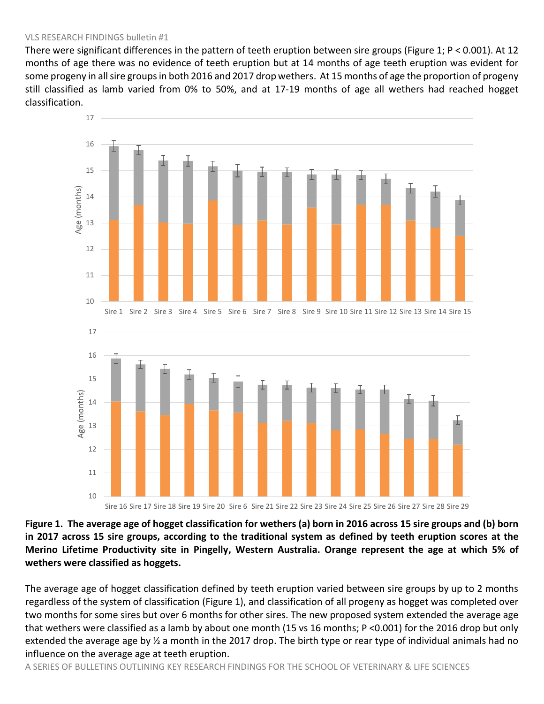#### VLS RESEARCH FINDINGS bulletin #1

There were significant differences in the pattern of teeth eruption between sire groups (Figure 1; P < 0.001). At 12 months of age there was no evidence of teeth eruption but at 14 months of age teeth eruption was evident for some progeny in all sire groups in both 2016 and 2017 drop wethers. At 15 months of age the proportion of progeny still classified as lamb varied from 0% to 50%, and at 17-19 months of age all wethers had reached hogget classification.



**Figure 1. The average age of hogget classification for wethers (a) born in 2016 across 15 sire groups and (b) born in 2017 across 15 sire groups, according to the traditional system as defined by teeth eruption scores at the Merino Lifetime Productivity site in Pingelly, Western Australia. Orange represent the age at which 5% of wethers were classified as hoggets.**

The average age of hogget classification defined by teeth eruption varied between sire groups by up to 2 months regardless of the system of classification (Figure 1), and classification of all progeny as hogget was completed over two months for some sires but over 6 months for other sires. The new proposed system extended the average age that wethers were classified as a lamb by about one month (15 vs 16 months; P <0.001) for the 2016 drop but only extended the average age by ½ a month in the 2017 drop. The birth type or rear type of individual animals had no influence on the average age at teeth eruption.

A SERIES OF BULLETINS OUTLINING KEY RESEARCH FINDINGS FOR THE SCHOOL OF VETERINARY & LIFE SCIENCES